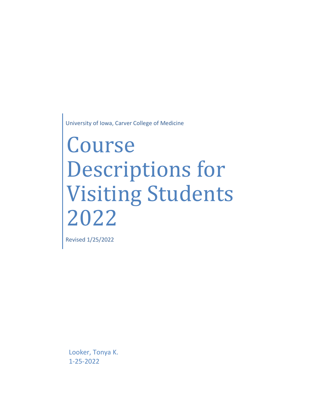University of Iowa, Carver College of Medicine

## Course Descriptions for Visiting Students 2022

Revised 1/25/2022

Looker, Tonya K. 1-25-2022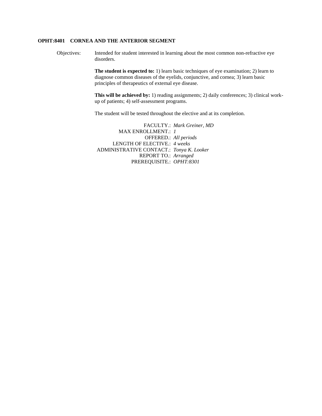## **OPHT:8401 CORNEA AND THE ANTERIOR SEGMENT**

Objectives: Intended for student interested in learning about the most common non-refractive eye disorders.

> **The student is expected to:** 1) learn basic techniques of eye examination; 2) learn to diagnose common diseases of the eyelids, conjunctive, and cornea; 3) learn basic principles of therapeutics of external eye disease.

**This will be achieved by:** 1) reading assignments; 2) daily conferences; 3) clinical workup of patients; 4) self-assessment programs.

The student will be tested throughout the elective and at its completion.

FACULTY.: *Mark Greiner, MD* MAX ENROLLMENT.: *1* OFFERED.: *All periods* LENGTH OF ELECTIVE.: *4 weeks* ADMINISTRATIVE CONTACT.: *Tonya K. Looker* REPORT TO.: *Arranged* PREREQUISITE.: *OPHT:8301*